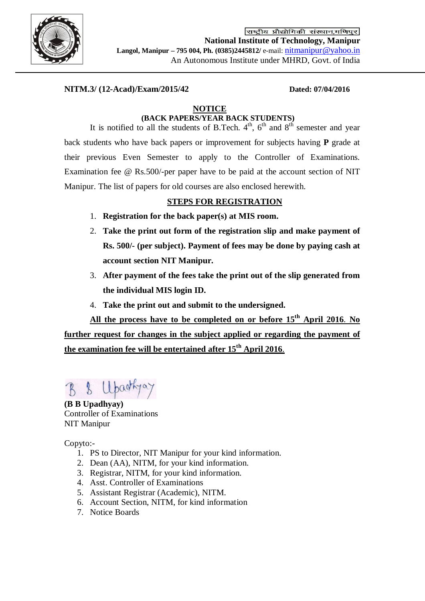

राष्ट्रीय प्रौद्योगिकी संस्थान,मणिपूर **National Institute of Technology, Manipur Langol, Manipur – 795 004, Ph. (0385)2445812/** e-mail: [nitmanipur@yahoo.in](mailto:nitmanipur@yahoo.in) An Autonomous Institute under MHRD, Govt. of India

## **NITM.3/ (12-Acad)/Exam/2015/42 Dated: 07/04/2016**

### **NOTICE**

# **(BACK PAPERS/YEAR BACK STUDENTS)**

It is notified to all the students of B.Tech.  $4<sup>th</sup>$ ,  $6<sup>th</sup>$  and  $8<sup>th</sup>$  semester and year back students who have back papers or improvement for subjects having **P** grade at their previous Even Semester to apply to the Controller of Examinations. Examination fee @ Rs.500/-per paper have to be paid at the account section of NIT Manipur. The list of papers for old courses are also enclosed herewith.

### **STEPS FOR REGISTRATION**

- 1. **Registration for the back paper(s) at MIS room.**
- 2. **Take the print out form of the registration slip and make payment of Rs. 500/- (per subject). Payment of fees may be done by paying cash at account section NIT Manipur.**
- 3. **After payment of the fees take the print out of the slip generated from the individual MIS login ID.**
- 4. **Take the print out and submit to the undersigned.**

**All the process have to be completed on or before 15 th April 2016**. **No further request for changes in the subject applied or regarding the payment of the examination fee will be entertained after 15th April 2016**.

**(B B Upadhyay)** Controller of Examinations NIT Manipur

Copyto:-

- 1. PS to Director, NIT Manipur for your kind information.
- 2. Dean (AA), NITM, for your kind information.
- 3. Registrar, NITM, for your kind information.
- 4. Asst. Controller of Examinations
- 5. Assistant Registrar (Academic), NITM.
- 6. Account Section, NITM, for kind information
- 7. Notice Boards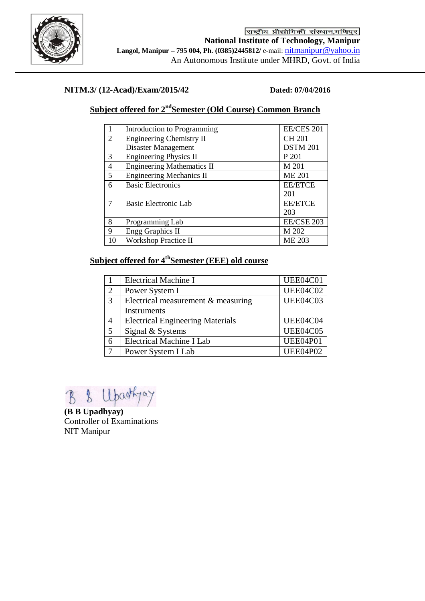

## **NITM.3/ (12-Acad)/Exam/2015/42 Dated: 07/04/2016**

# **Subject offered for 2ndSemester (Old Course) Common Branch**

|                | Introduction to Programming       | <b>EE/CES 201</b> |
|----------------|-----------------------------------|-------------------|
| $\overline{2}$ | <b>Engineering Chemistry II</b>   | <b>CH 201</b>     |
|                | Disaster Management               | <b>DSTM 201</b>   |
| 3              | <b>Engineering Physics II</b>     | P 201             |
| 4              | <b>Engineering Mathematics II</b> | M 201             |
| 5              | <b>Engineering Mechanics II</b>   | <b>ME 201</b>     |
| 6              | <b>Basic Electronics</b>          | <b>EE/ETCE</b>    |
|                |                                   | 201               |
| $\tau$         | Basic Electronic Lab              | <b>EE/ETCE</b>    |
|                |                                   | 203               |
| 8              | Programming Lab                   | EE/CSE 203        |
| 9              | <b>Engg Graphics II</b>           | M 202             |
| 10             | <b>Workshop Practice II</b>       | <b>ME 203</b>     |

# **Subject offered for 4 thSemester (EEE) old course**

|   | <b>Electrical Machine I</b>             | UEE04C01        |
|---|-----------------------------------------|-----------------|
| 2 | Power System I                          | <b>UEE04C02</b> |
| 3 | Electrical measurement & measuring      | <b>UEE04C03</b> |
|   | Instruments                             |                 |
|   | <b>Electrical Engineering Materials</b> | UEE04C04        |
| 5 | Signal & Systems                        | <b>UEE04C05</b> |
| 6 | Electrical Machine I Lab                | <b>UEE04P01</b> |
|   | Power System I Lab                      | <b>UEE04P02</b> |

B & Upartyay

**(B B Upadhyay)** Controller of Examinations NIT Manipur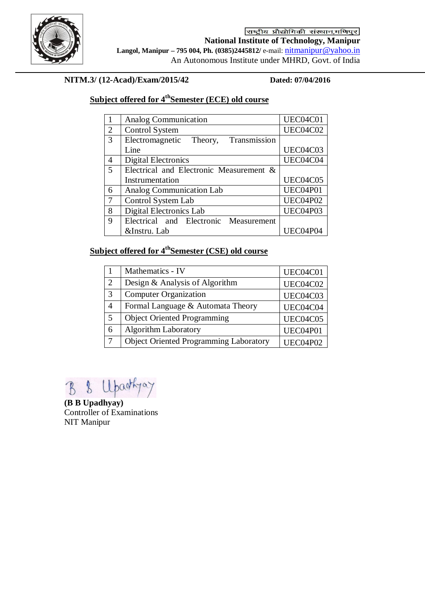

राष्ट्रीय प्रौद्योगिकी संस्थान,मणिपुर **National Institute of Technology, Manipur Langol, Manipur – 795 004, Ph. (0385)2445812/** e-mail: [nitmanipur@yahoo.in](mailto:nitmanipur@yahoo.in) An Autonomous Institute under MHRD, Govt. of India

# **NITM.3/ (12-Acad)/Exam/2015/42 Dated: 07/04/2016**

# **Subject offered for 4 thSemester (ECE) old course**

|                | Analog Communication                    | UEC04C01        |
|----------------|-----------------------------------------|-----------------|
| $\overline{2}$ | <b>Control System</b>                   | <b>UEC04C02</b> |
| 3              | Transmission<br>Electromagnetic Theory, |                 |
|                | Line                                    | UEC04C03        |
| 4              | <b>Digital Electronics</b>              | UEC04C04        |
| 5              | Electrical and Electronic Measurement & |                 |
|                | Instrumentation                         | <b>UEC04C05</b> |
| 6              | Analog Communication Lab                | UEC04P01        |
| $\tau$         | Control System Lab                      | UEC04P02        |
| 8              | Digital Electronics Lab                 | UEC04P03        |
| 9              | Electrical and Electronic Measurement   |                 |
|                | &Instru. Lab                            | UEC04P04        |

# **Subject offered for 4 thSemester (CSE) old course**

|                | Mathematics - IV                              | UEC04C01        |
|----------------|-----------------------------------------------|-----------------|
| $\overline{2}$ | Design & Analysis of Algorithm                | UEC04C02        |
| 3              | <b>Computer Organization</b>                  | UEC04C03        |
| 4              | Formal Language & Automata Theory             | UEC04C04        |
| 5              | <b>Object Oriented Programming</b>            | <b>UEC04C05</b> |
| 6              | <b>Algorithm Laboratory</b>                   | UEC04P01        |
|                | <b>Object Oriented Programming Laboratory</b> | <b>UEC04P02</b> |

 $\begin{array}{c} \mathbf{B} \\ \mathbf{B} \end{array}$ 

**(B B Upadhyay)** Controller of Examinations NIT Manipur